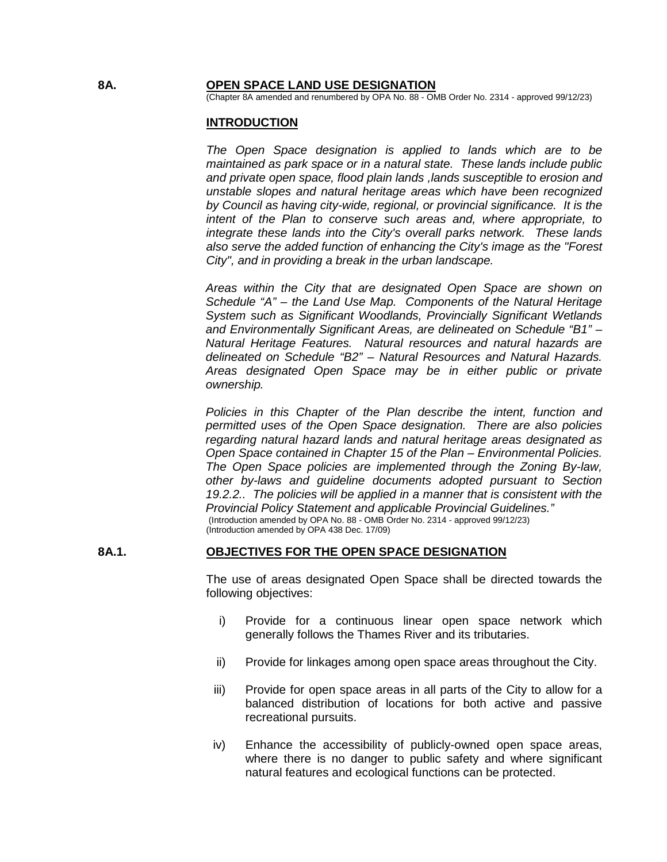#### **8A. OPEN SPACE LAND USE DESIGNATION**

(Chapter 8A amended and renumbered by OPA No. 88 - OMB Order No. 2314 - approved 99/12/23)

#### **INTRODUCTION**

*The Open Space designation is applied to lands which are to be maintained as park space or in a natural state. These lands include public and private open space, flood plain lands ,lands susceptible to erosion and unstable slopes and natural heritage areas which have been recognized by Council as having city-wide, regional, or provincial significance. It is the intent of the Plan to conserve such areas and, where appropriate, to integrate these lands into the City's overall parks network. These lands also serve the added function of enhancing the City's image as the "Forest City", and in providing a break in the urban landscape.*

*Areas within the City that are designated Open Space are shown on Schedule "A" – the Land Use Map. Components of the Natural Heritage System such as Significant Woodlands, Provincially Significant Wetlands and Environmentally Significant Areas, are delineated on Schedule "B1" – Natural Heritage Features. Natural resources and natural hazards are delineated on Schedule "B2" – Natural Resources and Natural Hazards. Areas designated Open Space may be in either public or private ownership.*

*Policies in this Chapter of the Plan describe the intent, function and permitted uses of the Open Space designation. There are also policies regarding natural hazard lands and natural heritage areas designated as Open Space contained in Chapter 15 of the Plan – Environmental Policies. The Open Space policies are implemented through the Zoning By-law, other by-laws and guideline documents adopted pursuant to Section 19.2.2.. The policies will be applied in a manner that is consistent with the Provincial Policy Statement and applicable Provincial Guidelines."* (Introduction amended by OPA No. 88 - OMB Order No. 2314 - approved 99/12/23) (Introduction amended by OPA 438 Dec. 17/09)

## **8A.1. OBJECTIVES FOR THE OPEN SPACE DESIGNATION**

The use of areas designated Open Space shall be directed towards the following objectives:

- i) Provide for a continuous linear open space network which generally follows the Thames River and its tributaries.
- ii) Provide for linkages among open space areas throughout the City.
- iii) Provide for open space areas in all parts of the City to allow for a balanced distribution of locations for both active and passive recreational pursuits.
- iv) Enhance the accessibility of publicly-owned open space areas, where there is no danger to public safety and where significant natural features and ecological functions can be protected.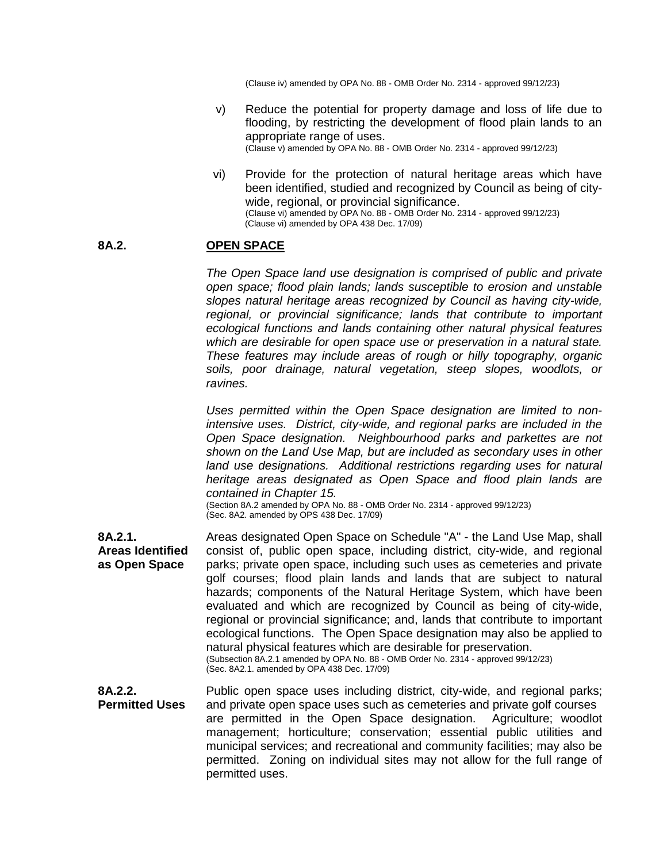(Clause iv) amended by OPA No. 88 - OMB Order No. 2314 - approved 99/12/23)

- v) Reduce the potential for property damage and loss of life due to flooding, by restricting the development of flood plain lands to an appropriate range of uses. (Clause v) amended by OPA No. 88 - OMB Order No. 2314 - approved 99/12/23)
- vi) Provide for the protection of natural heritage areas which have been identified, studied and recognized by Council as being of citywide, regional, or provincial significance. (Clause vi) amended by OPA No. 88 - OMB Order No. 2314 - approved 99/12/23) (Clause vi) amended by OPA 438 Dec. 17/09)

## **8A.2. OPEN SPACE**

*The Open Space land use designation is comprised of public and private open space; flood plain lands; lands susceptible to erosion and unstable slopes natural heritage areas recognized by Council as having city-wide, regional, or provincial significance; lands that contribute to important ecological functions and lands containing other natural physical features which are desirable for open space use or preservation in a natural state. These features may include areas of rough or hilly topography, organic soils, poor drainage, natural vegetation, steep slopes, woodlots, or ravines.*

*Uses permitted within the Open Space designation are limited to nonintensive uses. District, city-wide, and regional parks are included in the Open Space designation. Neighbourhood parks and parkettes are not shown on the Land Use Map, but are included as secondary uses in other*  land use designations. Additional restrictions regarding uses for natural *heritage areas designated as Open Space and flood plain lands are contained in Chapter 15.*

(Section 8A.2 amended by OPA No. 88 - OMB Order No. 2314 - approved 99/12/23)  $(Sec. 8A2.$  amended by OPS 438 Dec. 17/09)

**8A.2.1. Areas Identified as Open Space** Areas designated Open Space on Schedule "A" - the Land Use Map, shall consist of, public open space, including district, city-wide, and regional parks; private open space, including such uses as cemeteries and private golf courses; flood plain lands and lands that are subject to natural hazards; components of the Natural Heritage System, which have been evaluated and which are recognized by Council as being of city-wide, regional or provincial significance; and, lands that contribute to important ecological functions. The Open Space designation may also be applied to natural physical features which are desirable for preservation. (Subsection 8A.2.1 amended by OPA No. 88 - OMB Order No. 2314 - approved 99/12/23) (Sec. 8A2.1. amended by OPA 438 Dec. 17/09)

**8A.2.2. Permitted Uses** Public open space uses including district, city-wide, and regional parks; and private open space uses such as cemeteries and private golf courses are permitted in the Open Space designation. Agriculture; woodlot management; horticulture; conservation; essential public utilities and municipal services; and recreational and community facilities; may also be permitted. Zoning on individual sites may not allow for the full range of permitted uses.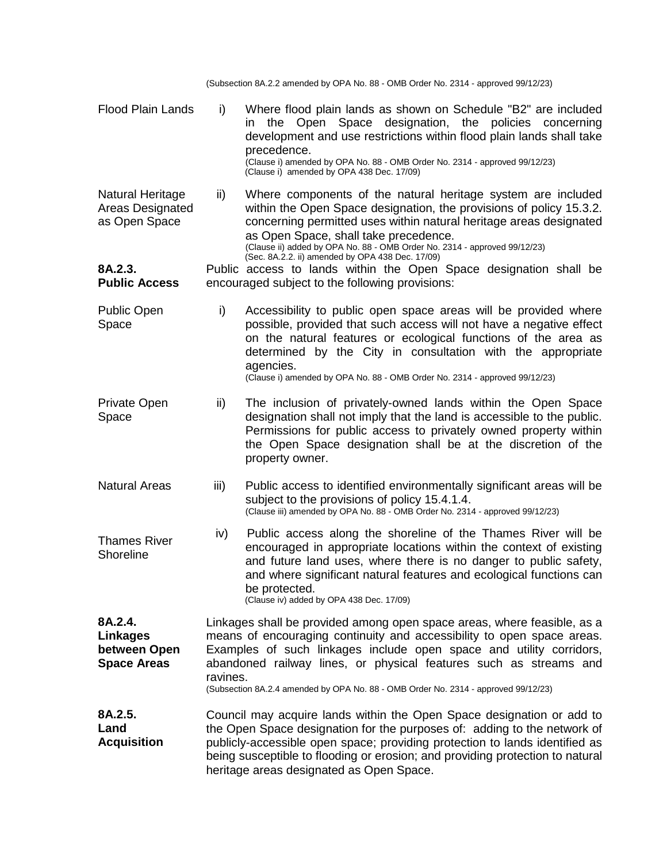(Subsection 8A.2.2 amended by OPA No. 88 - OMB Order No. 2314 - approved 99/12/23)

Flood Plain Lands i) Where flood plain lands as shown on Schedule "B2" are included in the Open Space designation, the policies concerning development and use restrictions within flood plain lands shall take precedence. (Clause i) amended by OPA No. 88 - OMB Order No. 2314 - approved 99/12/23) (Clause i) amended by OPA 438 Dec. 17/09) Natural Heritage Areas Designated as Open Space ii) Where components of the natural heritage system are included within the Open Space designation, the provisions of policy 15.3.2. concerning permitted uses within natural heritage areas designated as Open Space, shall take precedence. (Clause ii) added by OPA No. 88 - OMB Order No. 2314 - approved 99/12/23) (Sec. 8A.2.2. ii) amended by OPA 438 Dec. 17/09) **8A.2.3. Public Access** Public access to lands within the Open Space designation shall be encouraged subject to the following provisions: Public Open Space i) Accessibility to public open space areas will be provided where possible, provided that such access will not have a negative effect on the natural features or ecological functions of the area as determined by the City in consultation with the appropriate agencies. (Clause i) amended by OPA No. 88 - OMB Order No. 2314 - approved 99/12/23) Private Open Space ii) The inclusion of privately-owned lands within the Open Space designation shall not imply that the land is accessible to the public. Permissions for public access to privately owned property within the Open Space designation shall be at the discretion of the property owner. Natural Areas Thames River **Shoreline** iii) Public access to identified environmentally significant areas will be subject to the provisions of policy 15.4.1.4. (Clause iii) amended by OPA No. 88 - OMB Order No. 2314 - approved 99/12/23) iv) Public access along the shoreline of the Thames River will be encouraged in appropriate locations within the context of existing and future land uses, where there is no danger to public safety, and where significant natural features and ecological functions can be protected. (Clause iv) added by OPA 438 Dec. 17/09) **8A.2.4. Linkages between Open Space Areas** Linkages shall be provided among open space areas, where feasible, as a means of encouraging continuity and accessibility to open space areas. Examples of such linkages include open space and utility corridors, abandoned railway lines, or physical features such as streams and ravines. (Subsection 8A.2.4 amended by OPA No. 88 - OMB Order No. 2314 - approved 99/12/23) **8A.2.5. Land Acquisition** Council may acquire lands within the Open Space designation or add to the Open Space designation for the purposes of: adding to the network of publicly-accessible open space; providing protection to lands identified as being susceptible to flooding or erosion; and providing protection to natural heritage areas designated as Open Space.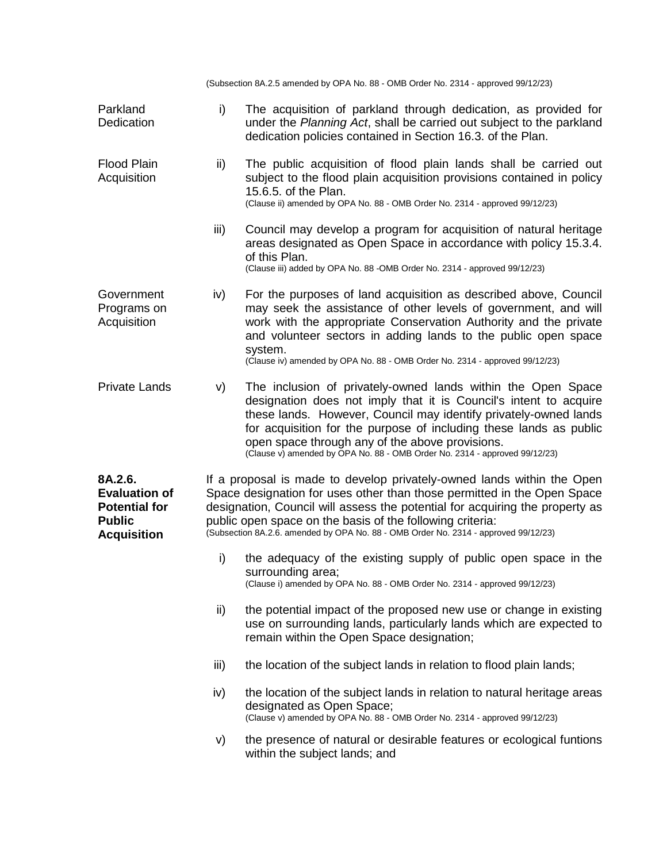(Subsection 8A.2.5 amended by OPA No. 88 - OMB Order No. 2314 - approved 99/12/23)

| Parkland<br>Dedication                                                                         | i)                                                                                                                                                                                                                                                                                                                                                                                    | The acquisition of parkland through dedication, as provided for<br>under the Planning Act, shall be carried out subject to the parkland<br>dedication policies contained in Section 16.3. of the Plan.                                                                                                                                                                                                       |
|------------------------------------------------------------------------------------------------|---------------------------------------------------------------------------------------------------------------------------------------------------------------------------------------------------------------------------------------------------------------------------------------------------------------------------------------------------------------------------------------|--------------------------------------------------------------------------------------------------------------------------------------------------------------------------------------------------------------------------------------------------------------------------------------------------------------------------------------------------------------------------------------------------------------|
| <b>Flood Plain</b><br>Acquisition                                                              | ii)                                                                                                                                                                                                                                                                                                                                                                                   | The public acquisition of flood plain lands shall be carried out<br>subject to the flood plain acquisition provisions contained in policy<br>15.6.5. of the Plan.<br>(Clause ii) amended by OPA No. 88 - OMB Order No. 2314 - approved 99/12/23)                                                                                                                                                             |
|                                                                                                | iii)                                                                                                                                                                                                                                                                                                                                                                                  | Council may develop a program for acquisition of natural heritage<br>areas designated as Open Space in accordance with policy 15.3.4.<br>of this Plan.<br>(Clause iii) added by OPA No. 88 - OMB Order No. 2314 - approved 99/12/23)                                                                                                                                                                         |
| Government<br>Programs on<br>Acquisition                                                       | iv)                                                                                                                                                                                                                                                                                                                                                                                   | For the purposes of land acquisition as described above, Council<br>may seek the assistance of other levels of government, and will<br>work with the appropriate Conservation Authority and the private<br>and volunteer sectors in adding lands to the public open space<br>system.<br>(Clause iv) amended by OPA No. 88 - OMB Order No. 2314 - approved 99/12/23)                                          |
| <b>Private Lands</b>                                                                           | V)                                                                                                                                                                                                                                                                                                                                                                                    | The inclusion of privately-owned lands within the Open Space<br>designation does not imply that it is Council's intent to acquire<br>these lands. However, Council may identify privately-owned lands<br>for acquisition for the purpose of including these lands as public<br>open space through any of the above provisions.<br>(Clause v) amended by OPA No. 88 - OMB Order No. 2314 - approved 99/12/23) |
| 8A.2.6.<br><b>Evaluation of</b><br><b>Potential for</b><br><b>Public</b><br><b>Acquisition</b> | If a proposal is made to develop privately-owned lands within the Open<br>Space designation for uses other than those permitted in the Open Space<br>designation, Council will assess the potential for acquiring the property as<br>public open space on the basis of the following criteria:<br>(Subsection 8A.2.6. amended by OPA No. 88 - OMB Order No. 2314 - approved 99/12/23) |                                                                                                                                                                                                                                                                                                                                                                                                              |
|                                                                                                | i)                                                                                                                                                                                                                                                                                                                                                                                    | the adequacy of the existing supply of public open space in the<br>surrounding area;<br>(Clause i) amended by OPA No. 88 - OMB Order No. 2314 - approved 99/12/23)                                                                                                                                                                                                                                           |
|                                                                                                | ii)                                                                                                                                                                                                                                                                                                                                                                                   | the potential impact of the proposed new use or change in existing<br>use on surrounding lands, particularly lands which are expected to<br>remain within the Open Space designation;                                                                                                                                                                                                                        |
|                                                                                                | iii)                                                                                                                                                                                                                                                                                                                                                                                  | the location of the subject lands in relation to flood plain lands;                                                                                                                                                                                                                                                                                                                                          |
|                                                                                                | iv)                                                                                                                                                                                                                                                                                                                                                                                   | the location of the subject lands in relation to natural heritage areas<br>designated as Open Space;<br>(Clause v) amended by OPA No. 88 - OMB Order No. 2314 - approved 99/12/23)                                                                                                                                                                                                                           |
|                                                                                                | V)                                                                                                                                                                                                                                                                                                                                                                                    | the presence of natural or desirable features or ecological funtions<br>within the subject lands; and                                                                                                                                                                                                                                                                                                        |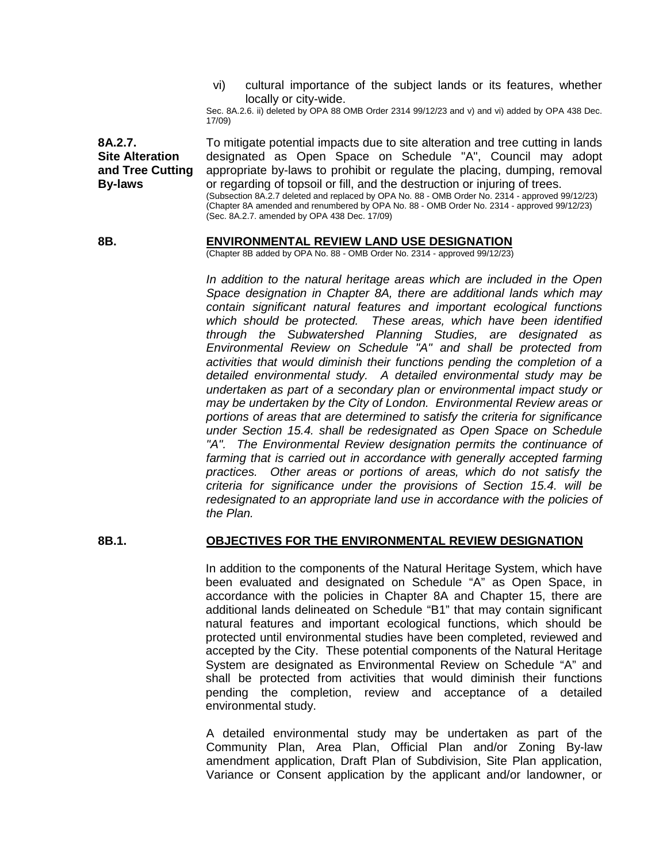vi) cultural importance of the subject lands or its features, whether locally or city-wide.

Sec. 8A.2.6. ii) deleted by OPA 88 OMB Order 2314 99/12/23 and v) and vi) added by OPA 438 Dec. 17/09)

**8A.2.7. Site Alteration and Tree Cutting By-laws** To mitigate potential impacts due to site alteration and tree cutting in lands designated as Open Space on Schedule "A", Council may adopt appropriate by-laws to prohibit or regulate the placing, dumping, removal or regarding of topsoil or fill, and the destruction or injuring of trees. (Subsection 8A.2.7 deleted and replaced by OPA No. 88 - OMB Order No. 2314 - approved 99/12/23) (Chapter 8A amended and renumbered by OPA No. 88 - OMB Order No. 2314 - approved 99/12/23) (Sec. 8A.2.7. amended by OPA 438 Dec. 17/09)

#### **8B. ENVIRONMENTAL REVIEW LAND USE DESIGNATION**

(Chapter 8B added by OPA No. 88 - OMB Order No. 2314 - approved 99/12/23)

*In addition to the natural heritage areas which are included in the Open Space designation in Chapter 8A, there are additional lands which may contain significant natural features and important ecological functions which should be protected. These areas, which have been identified through the Subwatershed Planning Studies, are designated as Environmental Review on Schedule "A" and shall be protected from activities that would diminish their functions pending the completion of a detailed environmental study. A detailed environmental study may be undertaken as part of a secondary plan or environmental impact study or may be undertaken by the City of London. Environmental Review areas or portions of areas that are determined to satisfy the criteria for significance under Section 15.4. shall be redesignated as Open Space on Schedule "A". The Environmental Review designation permits the continuance of*  farming that is carried out in accordance with generally accepted farming *practices. Other areas or portions of areas, which do not satisfy the criteria for significance under the provisions of Section 15.4. will be redesignated to an appropriate land use in accordance with the policies of the Plan.*

## **8B.1. OBJECTIVES FOR THE ENVIRONMENTAL REVIEW DESIGNATION**

In addition to the components of the Natural Heritage System, which have been evaluated and designated on Schedule "A" as Open Space, in accordance with the policies in Chapter 8A and Chapter 15, there are additional lands delineated on Schedule "B1" that may contain significant natural features and important ecological functions, which should be protected until environmental studies have been completed, reviewed and accepted by the City. These potential components of the Natural Heritage System are designated as Environmental Review on Schedule "A" and shall be protected from activities that would diminish their functions pending the completion, review and acceptance of a detailed environmental study.

A detailed environmental study may be undertaken as part of the Community Plan, Area Plan, Official Plan and/or Zoning By-law amendment application, Draft Plan of Subdivision, Site Plan application, Variance or Consent application by the applicant and/or landowner, or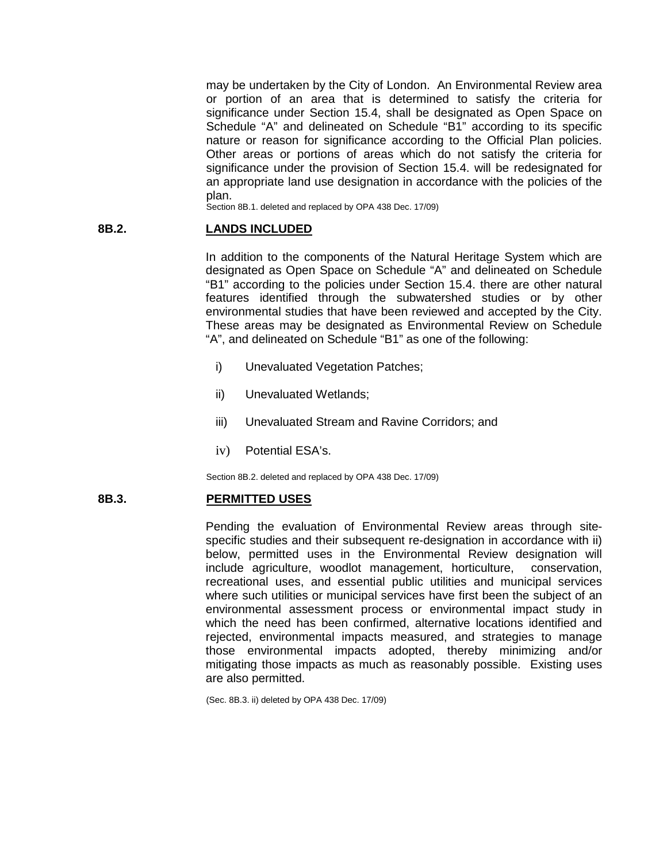may be undertaken by the City of London. An Environmental Review area or portion of an area that is determined to satisfy the criteria for significance under Section 15.4, shall be designated as Open Space on Schedule "A" and delineated on Schedule "B1" according to its specific nature or reason for significance according to the Official Plan policies. Other areas or portions of areas which do not satisfy the criteria for significance under the provision of Section 15.4. will be redesignated for an appropriate land use designation in accordance with the policies of the plan.

Section 8B.1. deleted and replaced by OPA 438 Dec. 17/09)

## **8B.2. LANDS INCLUDED**

In addition to the components of the Natural Heritage System which are designated as Open Space on Schedule "A" and delineated on Schedule "B1" according to the policies under Section 15.4. there are other natural features identified through the subwatershed studies or by other environmental studies that have been reviewed and accepted by the City. These areas may be designated as Environmental Review on Schedule "A", and delineated on Schedule "B1" as one of the following:

- i) Unevaluated Vegetation Patches;
- ii) Unevaluated Wetlands;
- iii) Unevaluated Stream and Ravine Corridors; and
- iv) Potential ESA's.

Section 8B.2. deleted and replaced by OPA 438 Dec. 17/09)

#### **8B.3. PERMITTED USES**

Pending the evaluation of Environmental Review areas through sitespecific studies and their subsequent re-designation in accordance with ii) below, permitted uses in the Environmental Review designation will include agriculture, woodlot management, horticulture, conservation, recreational uses, and essential public utilities and municipal services where such utilities or municipal services have first been the subject of an environmental assessment process or environmental impact study in which the need has been confirmed, alternative locations identified and rejected, environmental impacts measured, and strategies to manage those environmental impacts adopted, thereby minimizing and/or mitigating those impacts as much as reasonably possible. Existing uses are also permitted.

(Sec. 8B.3. ii) deleted by OPA 438 Dec. 17/09)